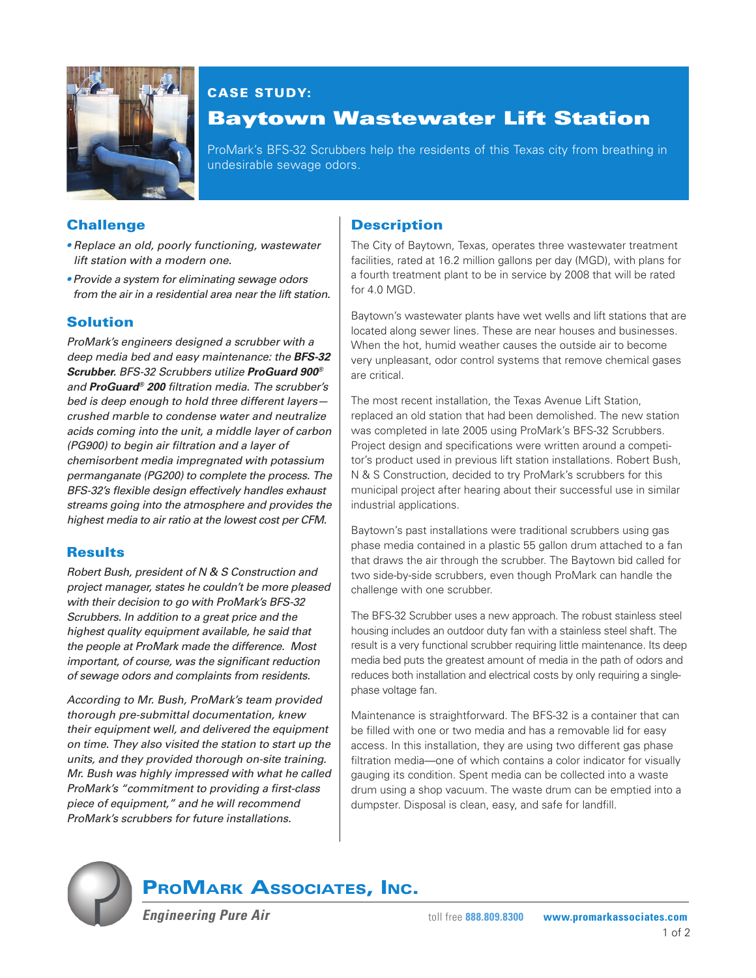

### CASE STUDY:

## Baytown Wastewater Lift Station

ProMark's BFS-32 Scrubbers help the residents of this Texas city from breathing in undesirable sewage odors.

#### **Challenge**

- *Replace an old, poorly functioning, wastewater lift station with a modern one.*
- *Provide a system for eliminating sewage odors from the air in a residential area near the lift station.*

#### Solution

*ProMark's engineers designed a scrubber with a deep media bed and easy maintenance: the* **BFS-32 Scrubber.** *BFS-32 Scrubbers utilize* **ProGuard 900®** *and* **ProGuard® 200** *filtration media. The scrubber's bed is deep enough to hold three different layers crushed marble to condense water and neutralize acids coming into the unit, a middle layer of carbon (PG900) to begin air filtration and a layer of chemisorbent media impregnated with potassium permanganate (PG200) to complete the process. The BFS-32's flexible design effectively handles exhaust streams going into the atmosphere and provides the highest media to air ratio at the lowest cost per CFM.*

#### **Results**

*Robert Bush, president of N & S Construction and project manager, states he couldn't be more pleased with their decision to go with ProMark's BFS-32 Scrubbers. In addition to a great price and the highest quality equipment available, he said that the people at ProMark made the difference. Most important, of course, was the significant reduction of sewage odors and complaints from residents.*

*According to Mr. Bush, ProMark's team provided thorough pre-submittal documentation, knew their equipment well, and delivered the equipment on time. They also visited the station to start up the units, and they provided thorough on-site training. Mr. Bush was highly impressed with what he called ProMark's "commitment to providing a first-class piece of equipment," and he will recommend ProMark's scrubbers for future installations.* 

#### **Description**

The City of Baytown, Texas, operates three wastewater treatment facilities, rated at 16.2 million gallons per day (MGD), with plans for a fourth treatment plant to be in service by 2008 that will be rated for 4.0 MGD.

Baytown's wastewater plants have wet wells and lift stations that are located along sewer lines. These are near houses and businesses. When the hot, humid weather causes the outside air to become very unpleasant, odor control systems that remove chemical gases are critical.

The most recent installation, the Texas Avenue Lift Station, replaced an old station that had been demolished. The new station was completed in late 2005 using ProMark's BFS-32 Scrubbers. Project design and specifications were written around a competitor's product used in previous lift station installations. Robert Bush, N & S Construction, decided to try ProMark's scrubbers for this municipal project after hearing about their successful use in similar industrial applications.

Baytown's past installations were traditional scrubbers using gas phase media contained in a plastic 55 gallon drum attached to a fan that draws the air through the scrubber. The Baytown bid called for two side-by-side scrubbers, even though ProMark can handle the challenge with one scrubber.

The BFS-32 Scrubber uses a new approach. The robust stainless steel housing includes an outdoor duty fan with a stainless steel shaft. The result is a very functional scrubber requiring little maintenance. Its deep media bed puts the greatest amount of media in the path of odors and reduces both installation and electrical costs by only requiring a singlephase voltage fan.

Maintenance is straightforward. The BFS-32 is a container that can be filled with one or two media and has a removable lid for easy access. In this installation, they are using two different gas phase filtration media—one of which contains a color indicator for visually gauging its condition. Spent media can be collected into a waste drum using a shop vacuum. The waste drum can be emptied into a dumpster. Disposal is clean, easy, and safe for landfill.



## PROMARK ASSOCIATES, INC.

**Engineering Pure Air**